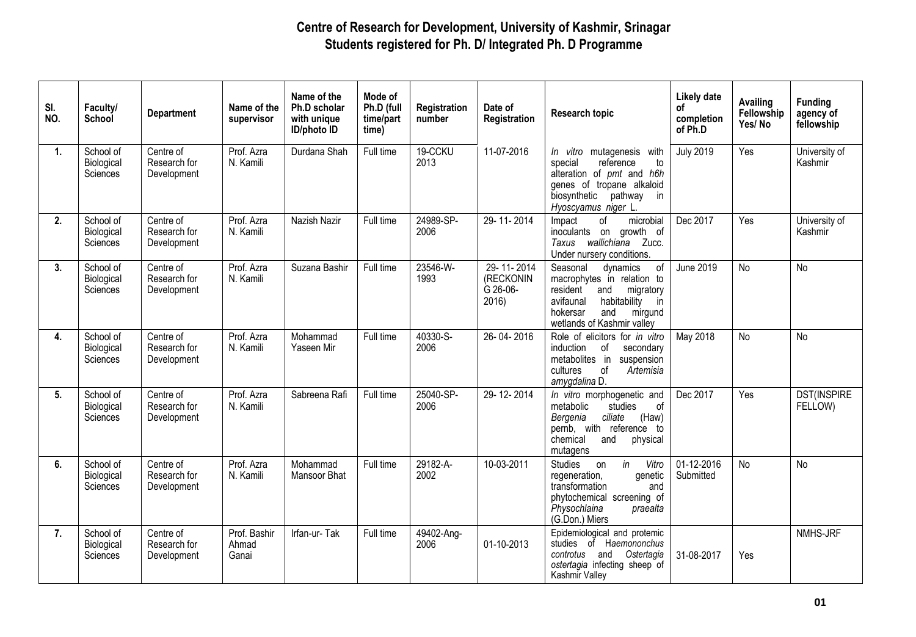| SI.<br>NO.     | Faculty/<br>School                  | <b>Department</b>                        | Name of the<br>supervisor      | Name of the<br>Ph.D scholar<br>with unique<br><b>ID/photo ID</b> | Mode of<br>Ph.D (full<br>time/part<br>time) | Registration<br>number | Date of<br>Registration                     | <b>Research topic</b>                                                                                                                                                                   | <b>Likely date</b><br>0f<br>completion<br>of Ph.D | <b>Availing</b><br>Fellowship<br>Yes/No | <b>Funding</b><br>agency of<br>fellowship |
|----------------|-------------------------------------|------------------------------------------|--------------------------------|------------------------------------------------------------------|---------------------------------------------|------------------------|---------------------------------------------|-----------------------------------------------------------------------------------------------------------------------------------------------------------------------------------------|---------------------------------------------------|-----------------------------------------|-------------------------------------------|
| $\mathbf{1}$ . | School of<br>Biological<br>Sciences | Centre of<br>Research for<br>Development | Prof. Azra<br>N. Kamili        | Durdana Shah                                                     | Full time                                   | 19-CCKU<br>2013        | 11-07-2016                                  | In vitro mutagenesis with<br>reference<br>special<br>to<br>alteration of pmt and h6h<br>genes of tropane alkaloid<br>biosynthetic<br>pathway<br>in<br>Hyoscyamus niger L.               | <b>July 2019</b>                                  | Yes                                     | University of<br>Kashmir                  |
| 2.             | School of<br>Biological<br>Sciences | Centre of<br>Research for<br>Development | Prof. Azra<br>N. Kamili        | Nazish Nazir                                                     | Full time                                   | 24989-SP-<br>2006      | 29-11-2014                                  | of<br>microbial<br>Impact<br>inoculants on growth of<br>Taxus wallichiana Zucc.<br>Under nursery conditions.                                                                            | Dec 2017                                          | Yes                                     | University of<br>Kashmir                  |
| 3.             | School of<br>Biological<br>Sciences | Centre of<br>Research for<br>Development | Prof. Azra<br>N. Kamili        | Suzana Bashir                                                    | Full time                                   | 23546-W-<br>1993       | 29-11-2014<br>(RECKONIN<br>G 26-06-<br>2016 | of<br>Seasonal<br>dynamics<br>macrophytes in relation to<br>resident<br>migratory<br>and<br>avifaunal<br>habitability<br>in<br>hokersar<br>and<br>mirgund<br>wetlands of Kashmir valley | <b>June 2019</b>                                  | <b>No</b>                               | <b>No</b>                                 |
| 4.             | School of<br>Biological<br>Sciences | Centre of<br>Research for<br>Development | Prof. Azra<br>N. Kamili        | Mohammad<br>Yaseen Mir                                           | Full time                                   | 40330-S-<br>2006       | 26-04-2016                                  | Role of elicitors for in vitro<br>induction<br>of<br>secondary<br>metabolites in<br>suspension<br>cultures<br>Artemisia<br>of<br>amygdalina D.                                          | May 2018                                          | <b>No</b>                               | <b>No</b>                                 |
| 5 <sub>1</sub> | School of<br>Biological<br>Sciences | Centre of<br>Research for<br>Development | Prof. Azra<br>N. Kamili        | Sabreena Rafi                                                    | Full time                                   | 25040-SP-<br>2006      | 29-12-2014                                  | In vitro morphogenetic and<br>metabolic<br>studies<br>0f<br>ciliate<br>(Haw)<br>Bergenia<br>pernb, with reference to<br>chemical<br>and<br>physical<br>mutagens                         | Dec 2017                                          | Yes                                     | <b>DST(INSPIRE</b><br>FELLOW)             |
| 6.             | School of<br>Biological<br>Sciences | Centre of<br>Research for<br>Development | Prof. Azra<br>N. Kamili        | Mohammad<br><b>Mansoor Bhat</b>                                  | Full time                                   | 29182-A-<br>2002       | 10-03-2011                                  | in<br>Vitro<br><b>Studies</b><br>on<br>regeneration,<br>genetic<br>transformation<br>and<br>phytochemical screening of<br>Physochlaina<br>praealta<br>(G.Don.) Miers                    | 01-12-2016<br>Submitted                           | No                                      | <b>No</b>                                 |
| 7.             | School of<br>Biological<br>Sciences | Centre of<br>Research for<br>Development | Prof. Bashir<br>Ahmad<br>Ganai | Irfan-ur-Tak                                                     | Full time                                   | 49402-Ang-<br>2006     | 01-10-2013                                  | Epidemiological and protemic<br>studies of Haemononchus<br>controtus<br>and Ostertagia<br>ostertagia infecting sheep of<br>Kashmir Valley                                               | 31-08-2017                                        | Yes                                     | NMHS-JRF                                  |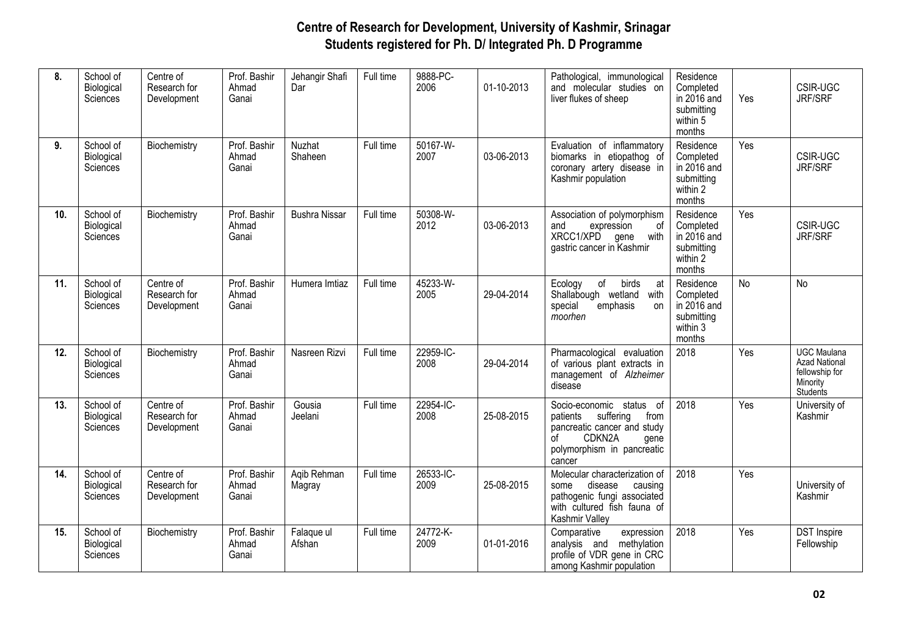| 8.  | School of<br>Biological<br>Sciences | Centre of<br>Research for<br>Development | Prof. Bashir<br>Ahmad<br>Ganai | Jehangir Shafi<br>Dar    | Full time | 9888-PC-<br>2006  | 01-10-2013 | Pathological, immunological<br>and molecular studies on<br>liver flukes of sheep                                                                         | Residence<br>Completed<br>in 2016 and<br>submitting<br>within 5<br>months | Yes       | <b>CSIR-UGC</b><br><b>JRF/SRF</b>                                                    |
|-----|-------------------------------------|------------------------------------------|--------------------------------|--------------------------|-----------|-------------------|------------|----------------------------------------------------------------------------------------------------------------------------------------------------------|---------------------------------------------------------------------------|-----------|--------------------------------------------------------------------------------------|
| 9.  | School of<br>Biological<br>Sciences | Biochemistry                             | Prof. Bashir<br>Ahmad<br>Ganai | <b>Nuzhat</b><br>Shaheen | Full time | 50167-W-<br>2007  | 03-06-2013 | Evaluation of inflammatory<br>biomarks in etiopathog of<br>coronary artery disease in<br>Kashmir population                                              | Residence<br>Completed<br>in 2016 and<br>submitting<br>within 2<br>months | Yes       | CSIR-UGC<br><b>JRF/SRF</b>                                                           |
| 10. | School of<br>Biological<br>Sciences | Biochemistry                             | Prof. Bashir<br>Ahmad<br>Ganai | <b>Bushra Nissar</b>     | Full time | 50308-W-<br>2012  | 03-06-2013 | Association of polymorphism<br>expression<br>οf<br>and<br>XRCC1/XPD<br>with<br>gene<br>gastric cancer in Kashmir                                         | Residence<br>Completed<br>in 2016 and<br>submitting<br>within 2<br>months | Yes       | CSIR-UGC<br>JRF/SRF                                                                  |
| 11. | School of<br>Biological<br>Sciences | Centre of<br>Research for<br>Development | Prof. Bashir<br>Ahmad<br>Ganai | Humera Imtiaz            | Full time | 45233-W-<br>2005  | 29-04-2014 | of<br>birds<br>Ecology<br>at<br>Shallabough wetland<br>with<br>special<br>emphasis<br>on<br>moorhen                                                      | Residence<br>Completed<br>in 2016 and<br>submitting<br>within 3<br>months | <b>No</b> | <b>No</b>                                                                            |
| 12. | School of<br>Biological<br>Sciences | Biochemistry                             | Prof. Bashir<br>Ahmad<br>Ganai | Nasreen Rizvi            | Full time | 22959-IC-<br>2008 | 29-04-2014 | Pharmacological evaluation<br>of various plant extracts in<br>management of Alzheimer<br>disease                                                         | 2018                                                                      | Yes       | <b>UGC Maulana</b><br><b>Azad National</b><br>fellowship for<br>Minority<br>Students |
| 13. | School of<br>Biological<br>Sciences | Centre of<br>Research for<br>Development | Prof. Bashir<br>Ahmad<br>Ganai | Gousia<br>Jeelani        | Full time | 22954-IC-<br>2008 | 25-08-2015 | Socio-economic status of<br>suffering<br>from<br>patients<br>pancreatic cancer and study<br>CDKN2A<br>οf<br>gene<br>polymorphism in pancreatic<br>cancer | 2018                                                                      | Yes       | University of<br>Kashmir                                                             |
| 14. | School of<br>Biological<br>Sciences | Centre of<br>Research for<br>Development | Prof. Bashir<br>Ahmad<br>Ganai | Aqib Rehman<br>Magray    | Full time | 26533-IC-<br>2009 | 25-08-2015 | Molecular characterization of<br>disease<br>some<br>causing<br>pathogenic fungi associated<br>with cultured fish fauna of<br>Kashmir Valley              | 2018                                                                      | Yes       | University of<br>Kashmir                                                             |
| 15. | School of<br>Biological<br>Sciences | Biochemistry                             | Prof. Bashir<br>Ahmad<br>Ganai | Falaque ul<br>Afshan     | Full time | 24772-K-<br>2009  | 01-01-2016 | Comparative<br>expression<br>methylation<br>analysis and<br>profile of VDR gene in CRC<br>among Kashmir population                                       | 2018                                                                      | Yes       | <b>DST</b> Inspire<br>Fellowship                                                     |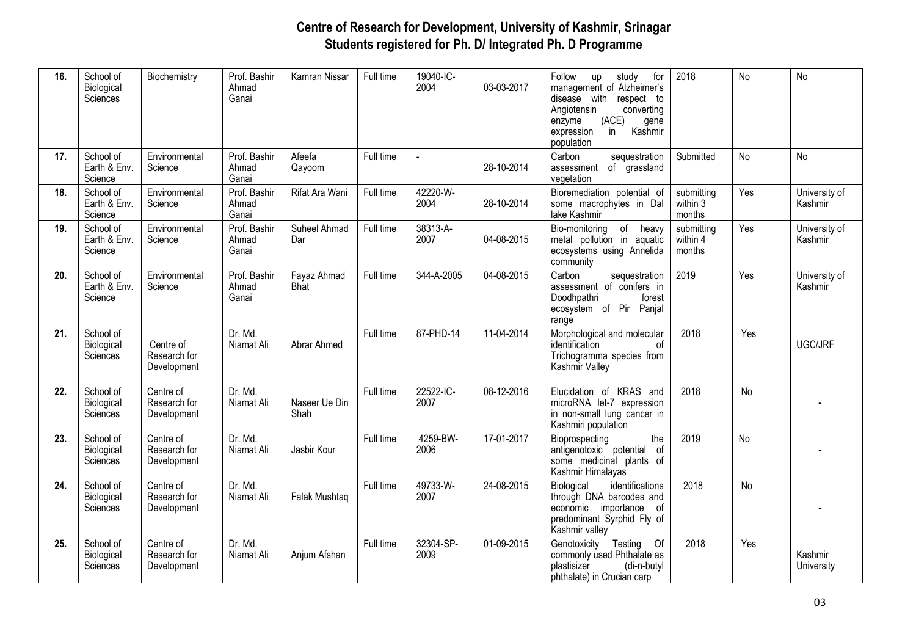| 16. | School of<br>Biological<br>Sciences  | Biochemistry                             | Prof. Bashir<br>Ahmad<br>Ganai | Kamran Nissar         | Full time | 19040-IC-<br>2004 | 03-03-2017 | Follow<br>for<br>up<br>study<br>management of Alzheimer's<br>disease with<br>respect to<br>Angiotensin<br>converting<br>(ACE)<br>enzyme<br>gene<br>in<br>Kashmir<br>expression<br>population | 2018                             | No        | No                       |
|-----|--------------------------------------|------------------------------------------|--------------------------------|-----------------------|-----------|-------------------|------------|----------------------------------------------------------------------------------------------------------------------------------------------------------------------------------------------|----------------------------------|-----------|--------------------------|
| 17. | School of<br>Earth & Env.<br>Science | Environmental<br>Science                 | Prof. Bashir<br>Ahmad<br>Ganai | Afeefa<br>Qayoom      | Full time |                   | 28-10-2014 | Carbon<br>sequestration<br>of grassland<br>assessment<br>vegetation                                                                                                                          | Submitted                        | No        | <b>No</b>                |
| 18. | School of<br>Earth & Env.<br>Science | Environmental<br>Science                 | Prof. Bashir<br>Ahmad<br>Ganai | Rifat Ara Wani        | Full time | 42220-W-<br>2004  | 28-10-2014 | Bioremediation potential of<br>some macrophytes in Dal<br>lake Kashmir                                                                                                                       | submitting<br>within 3<br>months | Yes       | University of<br>Kashmir |
| 19. | School of<br>Earth & Env.<br>Science | Environmental<br>Science                 | Prof. Bashir<br>Ahmad<br>Ganai | Suheel Ahmad<br>Dar   | Full time | 38313-A-<br>2007  | 04-08-2015 | of<br>Bio-monitoring<br>heavy<br>metal pollution in aquatic<br>ecosystems using Annelida<br>community                                                                                        | submitting<br>within 4<br>months | Yes       | University of<br>Kashmir |
| 20. | School of<br>Earth & Env.<br>Science | Environmental<br>Science                 | Prof. Bashir<br>Ahmad<br>Ganai | Fayaz Ahmad<br>Bhat   | Full time | 344-A-2005        | 04-08-2015 | Carbon<br>sequestration<br>assessment of conifers in<br>Doodhpathri<br>forest<br>ecosystem of Pir Panjal<br>range                                                                            | 2019                             | Yes       | University of<br>Kashmir |
| 21. | School of<br>Biological<br>Sciences  | Centre of<br>Research for<br>Development | Dr. Md.<br>Niamat Ali          | Abrar Ahmed           | Full time | 87-PHD-14         | 11-04-2014 | Morphological and molecular<br>identification<br>οf<br>Trichogramma species from<br>Kashmir Valley                                                                                           | 2018                             | Yes       | UGC/JRF                  |
| 22. | School of<br>Biological<br>Sciences  | Centre of<br>Research for<br>Development | Dr. Md.<br>Niamat Ali          | Naseer Ue Din<br>Shah | Full time | 22522-IC-<br>2007 | 08-12-2016 | Elucidation of KRAS and<br>microRNA let-7 expression<br>in non-small lung cancer in<br>Kashmiri population                                                                                   | 2018                             | <b>No</b> |                          |
| 23. | School of<br>Biological<br>Sciences  | Centre of<br>Research for<br>Development | Dr. Md.<br>Niamat Ali          | Jasbir Kour           | Full time | 4259-BW-<br>2006  | 17-01-2017 | the<br>Bioprospecting<br>antigenotoxic potential of<br>some medicinal plants of<br>Kashmir Himalayas                                                                                         | 2019                             | <b>No</b> |                          |
| 24. | School of<br>Biological<br>Sciences  | Centre of<br>Research for<br>Development | Dr. Md.<br>Niamat Ali          | Falak Mushtaq         | Full time | 49733-W-<br>2007  | 24-08-2015 | Biological<br>identifications<br>through DNA barcodes and<br>economic importance of<br>predominant Syrphid Fly of<br>Kashmir valley                                                          | 2018                             | <b>No</b> |                          |
| 25. | School of<br>Biological<br>Sciences  | Centre of<br>Research for<br>Development | Dr. Md.<br>Niamat Ali          | Anjum Afshan          | Full time | 32304-SP-<br>2009 | 01-09-2015 | Testing<br>Genotoxicity<br><b>Of</b><br>commonly used Phthalate as<br>plastisizer<br>(di-n-butyl<br>phthalate) in Crucian carp                                                               | 2018                             | Yes       | Kashmir<br>University    |